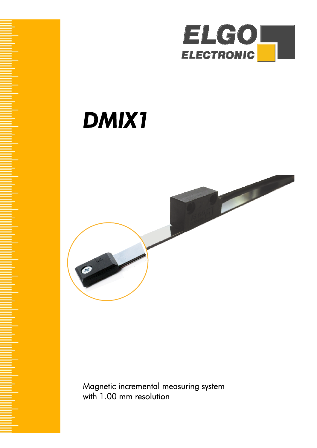

# *DMIX1*



Magnetic incremental measuring system with 1.00 mm resolution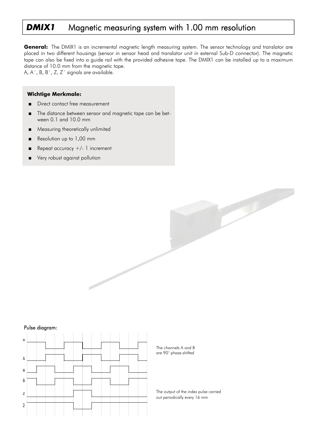# **DMIX1** Magnetic measuring system with 1.00 mm resolution

**General:** The DMIX1 is an incremental magnetic length measuring system. The sensor technology and translator are placed in two different housings (sensor in sensor head and translator unit in external Sub-D connector). The magnetic tape can also be fixed into a guide rail with the provided adhesive tape. The DMIX1 can be installed up to a maximum distance of 10.0 mm from the magnetic tape.

A, A´, B, B´, Z, Z´ signals are available.

#### **Wichtige Merkmale:**

- Direct contact free measurement
- The distance between sensor and magnetic tape can be between 0.1 and 10.0 mm
- Measuring theoretically unlimited
- Resolution up to 1,00 mm
- Repeat accuracy  $+/- 1$  increment
- Very robust against pollution

### Pulse diagram:



The channels A and B are 90° phase-shifted

The output of the index pulse carried out periodically every 16 mm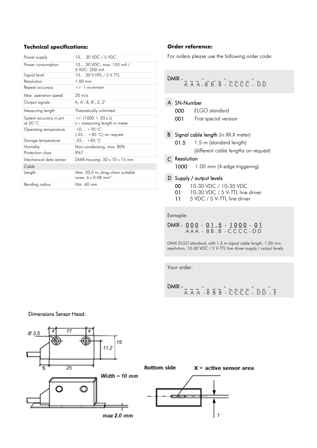# **Technical specifications:**

| 10 30 VDC / 5 VDC                                                          |
|----------------------------------------------------------------------------|
| 10 30 VDC: max. 150 mA /<br>5 VDC: 200 mA                                  |
| 10 30 V HTL / 5 V-TTL                                                      |
| $1.00$ mm                                                                  |
| $+/- 1$ increment                                                          |
| $20 \text{ m/s}$                                                           |
| A, A', B, B', Z, Z'                                                        |
| Theoretically unlimited                                                    |
| $+/- (1000 + 20 \times L)$<br>$L =$ measuring length in meter              |
| $-10 + 70$ °C<br>$(-25 + 85^{\circ}C)$ on request                          |
| $-25 + 85$ °C                                                              |
| Non-condensing, max. 80%                                                   |
| <b>IP67</b>                                                                |
| DMIX-housing: $30 \times 10 \times 15$ mm                                  |
|                                                                            |
| Max. 30.0 m, drag-chain suitable<br>wires: $6 \times 0.08$ mm <sup>2</sup> |
| Min. 60 mm                                                                 |
|                                                                            |

# **Order reference:**

For orders please use the following order code:

$$
\overline{DMIX} - \frac{1}{A \overline{A} \overline{A} - B \overline{B} \cdot \overline{B}} - \overline{C} \overline{C} \overline{C} \overline{C} - \overline{D} \overline{D}
$$

#### A SN-Number

|  | 000 |  | ELGO standard |
|--|-----|--|---------------|
|--|-----|--|---------------|

- 001 First special version
- **B** Signal cable length (in XX.X meter)
	- 01.5 1.5 m (standard length) (different cable lengths on request)

#### C Resolution

1000 1.00 mm (4-edge triggering)

#### D Supply / output levels

- 00 10-30 VDC / 10-30 VDC
- 01 10-30 VDC / 5 V-TTL line driver
- 11 5 VDC / 5 V-TTL line driver

#### Exmaple:

DMIX - 0 0 0 - 0 1 . 5 - 1 0 0 0 - 0 1 A A A - B B . B - C C C C - D D

*DMIX ELGO* standard, with 1.5 m signal cable length, 1.00 mm resolution, 10-30 VDC / 5 V-TTL line driver supply / output levels.

Your order:

DMIX - \_ \_ \_ \_ - \_ \_ - \_ \_ - \_ \_ \_ \_ - \_ \_ - \_ \_ A A A - B B B - CCCC - DD - E

# Dimensions Sensor Head: